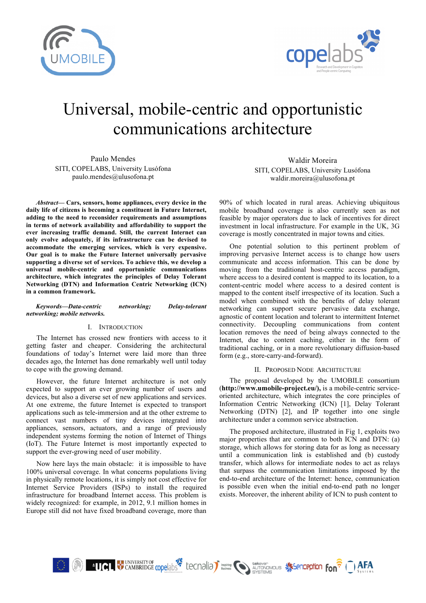



# Universal, mobile-centric and opportunistic communications architecture

Paulo Mendes SITI, COPELABS, University Lusófona paulo.mendes@ulusofona.pt

*Abstract***— Cars, sensors, home appliances, every device in the daily life of citizens is becoming a constituent in Future Internet, adding to the need to reconsider requirements and assumptions in terms of network availability and affordability to support the ever increasing traffic demand. Still, the current Internet can only evolve adequately, if its infrastructure can be devised to accommodate the emerging services, which is very expensive. Our goal is to make the Future Internet universally pervasive supporting a diverse set of services. To achieve this, we develop a universal mobile-centric and opportunistic communications architecture, which integrates the principles of Delay Tolerant Networking (DTN) and Information Centric Networking (ICN) in a common framework.**

### *Keywords—Data-centric networking; Delay-tolerant networking; mobile networks.*

## I. INTRODUCTION

The Internet has crossed new frontiers with access to it getting faster and cheaper. Considering the architectural foundations of today's Internet were laid more than three decades ago, the Internet has done remarkably well until today to cope with the growing demand.

However, the future Internet architecture is not only expected to support an ever growing number of users and devices, but also a diverse set of new applications and services. At one extreme, the future Internet is expected to transport applications such as tele-immersion and at the other extreme to connect vast numbers of tiny devices integrated into appliances, sensors, actuators, and a range of previously independent systems forming the notion of Internet of Things (IoT). The Future Internet is most importantly expected to support the ever-growing need of user mobility.

Now here lays the main obstacle: it is impossible to have 100% universal coverage. In what concerns populations living in physically remote locations, it is simply not cost effective for Internet Service Providers (ISPs) to install the required infrastructure for broadband Internet access. This problem is widely recognized: for example, in 2012, 9.1 million homes in Europe still did not have fixed broadband coverage, more than

Waldir Moreira SITI, COPELABS, University Lusófona waldir.moreira@ulusofona.pt

90% of which located in rural areas. Achieving ubiquitous mobile broadband coverage is also currently seen as not feasible by major operators due to lack of incentives for direct investment in local infrastructure. For example in the UK, 3G coverage is mostly concentrated in major towns and cities.

One potential solution to this pertinent problem of improving pervasive Internet access is to change how users communicate and access information. This can be done by moving from the traditional host-centric access paradigm, where access to a desired content is mapped to its location, to a content-centric model where access to a desired content is mapped to the content itself irrespective of its location. Such a model when combined with the benefits of delay tolerant networking can support secure pervasive data exchange, agnostic of content location and tolerant to intermittent Internet connectivity. Decoupling communications from content location removes the need of being always connected to the Internet, due to content caching, either in the form of traditional caching, or in a more revolutionary diffusion-based form (e.g., store-carry-and-forward).

#### II. PROPOSED NODE ARCHITECTURE

The proposal developed by the UMOBILE consortium (**http://www.umobile-project.eu/),** is a mobile-centric serviceoriented architecture, which integrates the core principles of Information Centric Networking (ICN) [1], Delay Tolerant Networking (DTN) [2], and IP together into one single architecture under a common service abstraction.

The proposed architecture, illustrated in Fig 1, exploits two major properties that are common to both ICN and DTN: (a) storage, which allows for storing data for as long as necessary until a communication link is established and (b) custody transfer, which allows for intermediate nodes to act as relays that surpass the communication limitations imposed by the end-to-end architecture of the Internet: hence, communication is possible even when the initial end-to-end path no longer exists. Moreover, the inherent ability of ICN to push content to